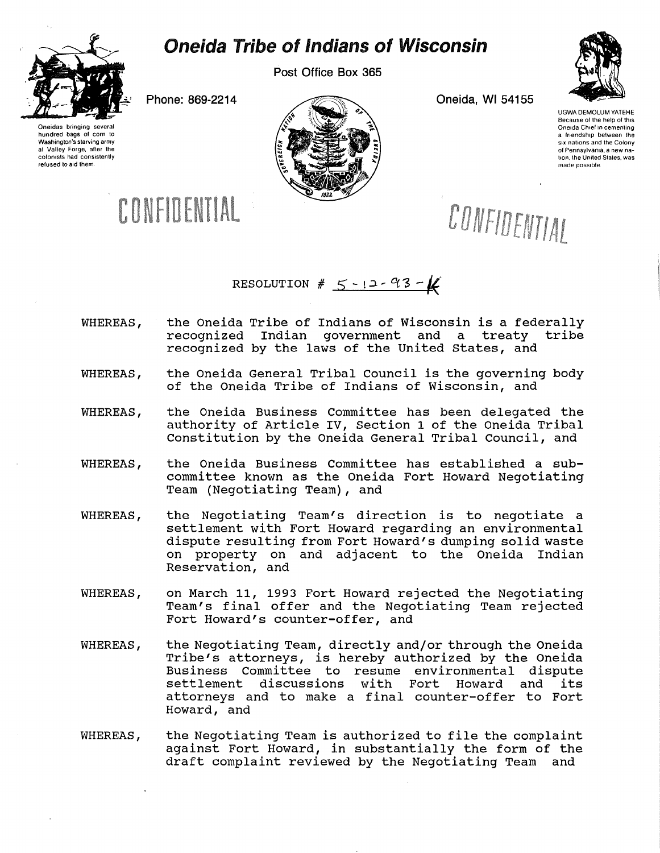

## Oneida Tribe of Indians of Wisconsin

Post Office Box 365

Oneidas bringing several hundred bags of corn to Washington's starving army at Valley Forge, after the colonists had consistently refused to aid them



UGWA DEMOLUM YATEHE Because of the help of this Oneida Chief in cementing a friendship between the six nations and the Colony of Pennsylvania, a new nation, the United States, was made possible

CONFIDENTIAL

CONFIDENTIAL

RESOLUTION #  $5 - 12 - 93 - 4$ 

- WHEREAS, the Oneida Tribe of Indians of Wisconsin is a federally<br>recognized Indian government and a treaty tribe recognized Indian government and a treaty recognized by the laws of the United States, and
- WHEREAS, the Oneida General Tribal Council is the governing body of the Oneida Tribe of Indians of Wisconsin, and
- WHEREAS, the Oneida Business Committee has been delegated the authority of Article IV, Section 1 of the Oneida Tribal Constitution by the Oneida General Tribal Council, and
- WHEREAS, the Oneida Business Committee has established a subcommittee known as the Oneida Fort Howard Negotiating Team (Negotiating Team), and
- WHEREAS, the Negotiating Team's direction is to negotiate a settlement with Fort Howard regarding an environmental dispute resulting from Fort Howard's dumping solid waste on property on and adjacent to the Oneida Indian Reservation, and
- WHEREAS, on March 11, 1993 Fort Howard rejected the Negotiating Team's final offer and the Negotiating Team rejected Fort Howard's counter-offer, and
- WHEREAS, the Negotiating Team, directly and/or through the Oneida Tribe's attorneys, is hereby authorized by the Oneida Business Committee to resume environmental dispute<br>settlement discussions with Fort Howard and its settlement discussions with attorneys and to make a final counter-offer to Fort Howard, and
- WHEREAS, the Negotiating Team is authorized to file the complaint against Fort Howard, in substantially the form of the draft complaint reviewed by the Negotiating Team and